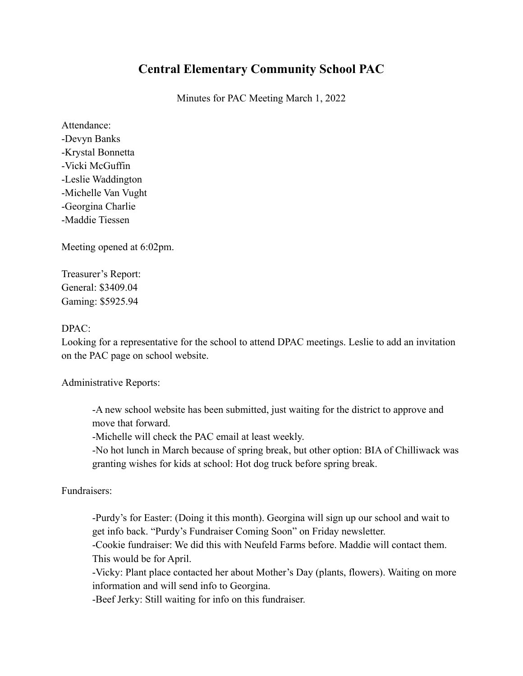## **Central Elementary Community School PAC**

Minutes for PAC Meeting March 1, 2022

Attendance: -Devyn Banks -Krystal Bonnetta -Vicki McGuffin -Leslie Waddington -Michelle Van Vught -Georgina Charlie -Maddie Tiessen

Meeting opened at 6:02pm.

Treasurer's Report: General: \$3409.04 Gaming: \$5925.94

## DPAC:

Looking for a representative for the school to attend DPAC meetings. Leslie to add an invitation on the PAC page on school website.

Administrative Reports:

-A new school website has been submitted, just waiting for the district to approve and move that forward.

-Michelle will check the PAC email at least weekly.

-No hot lunch in March because of spring break, but other option: BIA of Chilliwack was granting wishes for kids at school: Hot dog truck before spring break.

Fundraisers:

-Purdy's for Easter: (Doing it this month). Georgina will sign up our school and wait to get info back. "Purdy's Fundraiser Coming Soon" on Friday newsletter.

-Cookie fundraiser: We did this with Neufeld Farms before. Maddie will contact them. This would be for April.

-Vicky: Plant place contacted her about Mother's Day (plants, flowers). Waiting on more information and will send info to Georgina.

-Beef Jerky: Still waiting for info on this fundraiser.